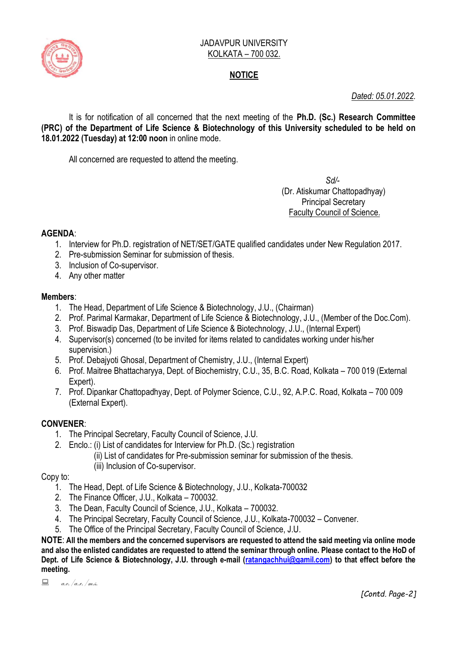

#### JADAVPUR UNIVERSITY KOLKATA – 700 032.

## **NOTICE**

## *Dated: 05.01.2022.*

It is for notification of all concerned that the next meeting of the **Ph.D. (Sc.) Research Committee (PRC) of the Department of Life Science & Biotechnology of this University scheduled to be held on 18.01.2022 (Tuesday) at 12:00 noon** in online mode.

All concerned are requested to attend the meeting.

 *Sd/-*  (Dr. Atiskumar Chattopadhyay) Principal Secretary Faculty Council of Science.

## **AGENDA**:

- 1. Interview for Ph.D. registration of NET/SET/GATE qualified candidates under New Regulation 2017.
- 2. Pre-submission Seminar for submission of thesis.
- 3. Inclusion of Co-supervisor.
- 4. Any other matter

#### **Members**:

- 1. The Head, Department of Life Science & Biotechnology, J.U., (Chairman)
- 2. Prof. Parimal Karmakar, Department of Life Science & Biotechnology, J.U., (Member of the Doc.Com).
- 3. Prof. Biswadip Das, Department of Life Science & Biotechnology, J.U., (Internal Expert)
- 4. Supervisor(s) concerned (to be invited for items related to candidates working under his/her supervision.)
- 5. Prof. Debajyoti Ghosal, Department of Chemistry, J.U., (Internal Expert)
- 6. Prof. Maitree Bhattacharyya, Dept. of Biochemistry, C.U., 35, B.C. Road, Kolkata 700 019 (External Expert).
- 7. Prof. Dipankar Chattopadhyay, Dept. of Polymer Science, C.U., 92, A.P.C. Road, Kolkata 700 009 (External Expert).

## **CONVENER**:

- 1. The Principal Secretary, Faculty Council of Science, J.U.
- 2. Enclo.: (i) List of candidates for Interview for Ph.D. (Sc.) registration
	- (ii) List of candidates for Pre-submission seminar for submission of the thesis.
		- (iii) Inclusion of Co-supervisor.

Copy to:

- 1. The Head, Dept. of Life Science & Biotechnology, J.U., Kolkata-700032
- 2. The Finance Officer, J.U., Kolkata 700032.
- 3. The Dean, Faculty Council of Science, J.U., Kolkata 700032.
- 4. The Principal Secretary, Faculty Council of Science, J.U., Kolkata-700032 Convener.
- 5. The Office of the Principal Secretary, Faculty Council of Science, J.U.

**NOTE**: **All the members and the concerned supervisors are requested to attend the said meeting via online mode and also the enlisted candidates are requested to attend the seminar through online. Please contact to the HoD of Dept. of Life Science & Biotechnology, J.U. through e-mail [\(ratangachhui@gamil.com\)](mailto:ratangachhui@gamil.com) to that effect before the meeting.**

 $\Box$  a.e. /a.r. /m.s.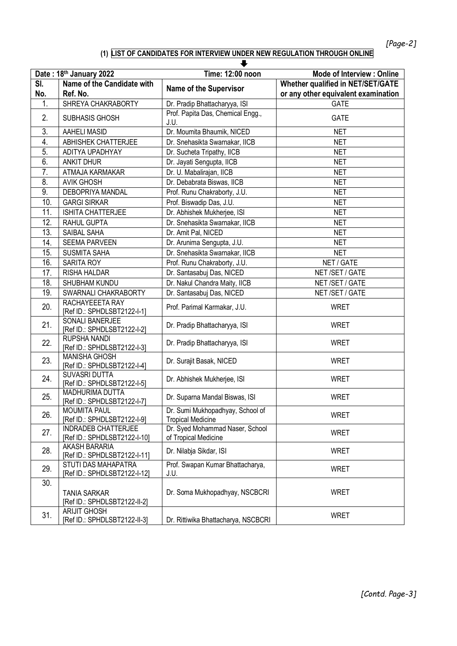# **(1) LIST OF CANDIDATES FOR INTERVIEW UNDER NEW REGULATION THROUGH ONLINE**

|                  |                                                     | ┺                                                            |                                          |
|------------------|-----------------------------------------------------|--------------------------------------------------------------|------------------------------------------|
|                  | Date: 18th January 2022                             | Time: 12:00 noon                                             | Mode of Interview : Online               |
| SI.              | Name of the Candidate with                          | <b>Name of the Supervisor</b>                                | <b>Whether qualified in NET/SET/GATE</b> |
| No.              | Ref. No.                                            |                                                              | or any other equivalent examination      |
| 1.               | SHREYA CHAKRABORTY                                  | Dr. Pradip Bhattacharyya, ISI                                | <b>GATE</b>                              |
| 2.               | SUBHASIS GHOSH                                      | Prof. Papita Das, Chemical Engg.,<br>J.U.                    | <b>GATE</b>                              |
| 3.               | <b>AAHELI MASID</b>                                 | Dr. Moumita Bhaumik, NICED                                   | <b>NET</b>                               |
| 4.               | ABHISHEK CHATTERJEE                                 | Dr. Snehasikta Swarnakar, IICB                               | <b>NET</b>                               |
| 5.               | ADITYA UPADHYAY                                     | Dr. Sucheta Tripathy, IICB                                   | <b>NET</b>                               |
| 6.               | <b>ANKIT DHUR</b>                                   | Dr. Jayati Sengupta, IICB                                    | <b>NET</b>                               |
| $\overline{7}$ . | ATMAJA KARMAKAR                                     | Dr. U. Mabalirajan, IICB                                     | <b>NET</b>                               |
| 8.               | <b>AVIK GHOSH</b>                                   | Dr. Debabrata Biswas, IICB                                   | <b>NET</b>                               |
| 9.               | DEBOPRIYA MANDAL                                    | Prof. Runu Chakraborty, J.U.                                 | <b>NET</b>                               |
| 10.              | <b>GARGI SIRKAR</b>                                 | Prof. Biswadip Das, J.U.                                     | <b>NET</b>                               |
| 11.              | ISHITA CHATTERJEE                                   | Dr. Abhishek Mukherjee, ISI                                  | <b>NET</b>                               |
| 12.              | RAHUL GUPTA                                         | Dr. Snehasikta Swarnakar, IICB                               | <b>NET</b>                               |
| 13.              | SAIBAL SAHA                                         | Dr. Amit Pal, NICED                                          | <b>NET</b>                               |
| 14.              | <b>SEEMA PARVEEN</b>                                | Dr. Arunima Sengupta, J.U.                                   | <b>NET</b>                               |
| 15.              | <b>SUSMITA SAHA</b>                                 | Dr. Snehasikta Swarnakar, IICB                               | <b>NET</b>                               |
| 16.              | SARITA ROY                                          | Prof. Runu Chakraborty, J.U.                                 | NET / GATE                               |
| 17.              | RISHA HALDAR                                        | Dr. Santasabuj Das, NICED                                    | NET /SET / GATE                          |
| 18.              | SHUBHAM KUNDU                                       | Dr. Nakul Chandra Maity, IICB                                | NET / SET / GATE                         |
| 19.              | SWARNALI CHAKRABORTY                                | Dr. Santasabuj Das, NICED                                    | NET / SET / GATE                         |
| 20.              | RACHAYEEETA RAY<br>[Ref ID.: SPHDLSBT2122-I-1]      | Prof. Parimal Karmakar, J.U.                                 | <b>WRET</b>                              |
| 21.              | SONALI BANERJEE<br>[Ref ID.: SPHDLSBT2122-I-2]      | Dr. Pradip Bhattacharyya, ISI                                | <b>WRET</b>                              |
| 22.              | RUPSHA NANDI<br>[Ref ID.: SPHDLSBT2122-I-3]         | Dr. Pradip Bhattacharyya, ISI                                | <b>WRET</b>                              |
| 23.              | <b>MANISHA GHOSH</b><br>[Ref ID.: SPHDLSBT2122-I-4] | Dr. Surajit Basak, NICED                                     | <b>WRET</b>                              |
| 24.              | SUVASRI DUTTA<br>[Ref ID.: SPHDLSBT2122-I-5]        | Dr. Abhishek Mukherjee, ISI                                  | <b>WRET</b>                              |
| 25.              | MADHURIMA DUTTA<br>[Ref ID.: SPHDLSBT2122-I-7]      | Dr. Suparna Mandal Biswas, ISI                               | <b>WRET</b>                              |
| 26.              | <b>MOUMITA PAUL</b><br>[Ref ID.: SPHDLSBT2122-I-9]  | Dr. Sumi Mukhopadhyay, School of<br><b>Tropical Medicine</b> | <b>WRET</b>                              |
| 27.              | INDRADEB CHATTERJEE<br>[Ref ID.: SPHDLSBT2122-I-10] | Dr. Syed Mohammad Naser, School<br>of Tropical Medicine      | <b>WRET</b>                              |
| 28.              | AKASH BARARIA<br>[Ref ID.: SPHDLSBT2122-I-11]       | Dr. Nilabja Sikdar, ISI                                      | <b>WRET</b>                              |
| 29.              | STUTI DAS MAHAPATRA<br>[Ref ID.: SPHDLSBT2122-I-12] | Prof. Swapan Kumar Bhattacharya,<br>J.U.                     | <b>WRET</b>                              |
| 30.              | <b>TANIA SARKAR</b><br>[Ref ID.: SPHDLSBT2122-II-2] | Dr. Soma Mukhopadhyay, NSCBCRI                               | <b>WRET</b>                              |
| 31.              | <b>ARIJIT GHOSH</b><br>[Ref ID.: SPHDLSBT2122-II-3] | Dr. Rittiwika Bhattacharya, NSCBCRI                          | <b>WRET</b>                              |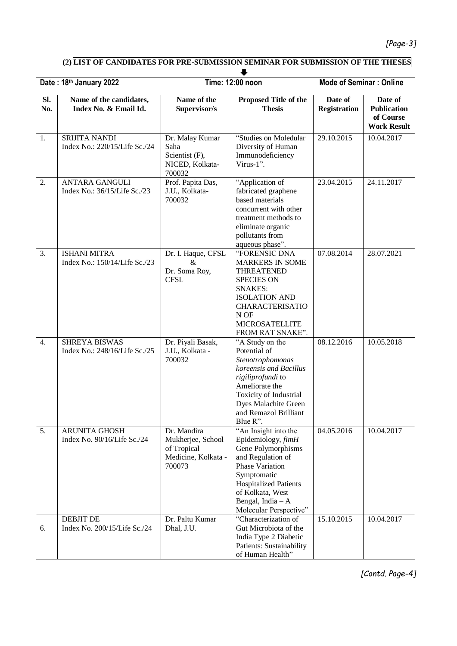# *[Page-3]*

# **(2) LIST OF CANDIDATES FOR PRE-SUBMISSION SEMINAR FOR SUBMISSION OF THE THESES**

| Date: 18th January 2022 |                                                       | Time: 12:00 noon                                                                 |                                                                                                                                                                                                                             | <b>Mode of Seminar: Online</b> |                                                                  |  |  |  |
|-------------------------|-------------------------------------------------------|----------------------------------------------------------------------------------|-----------------------------------------------------------------------------------------------------------------------------------------------------------------------------------------------------------------------------|--------------------------------|------------------------------------------------------------------|--|--|--|
| SI.<br>No.              | Name of the candidates,<br>Index No. & Email Id.      | Name of the<br>Supervisor/s                                                      | Proposed Title of the<br><b>Thesis</b>                                                                                                                                                                                      | Date of<br><b>Registration</b> | Date of<br><b>Publication</b><br>of Course<br><b>Work Result</b> |  |  |  |
| 1.                      | SRIJITA NANDI<br>Index No.: 220/15/Life Sc./24        | Dr. Malay Kumar<br>Saha<br>Scientist (F),<br>NICED, Kolkata-<br>700032           | "Studies on Moledular<br>Diversity of Human<br>Immunodeficiency<br>Virus-1".                                                                                                                                                | 29.10.2015                     | 10.04.2017                                                       |  |  |  |
| 2.                      | <b>ANTARA GANGULI</b><br>Index No.: 36/15/Life Sc./23 | Prof. Papita Das,<br>J.U., Kolkata-<br>700032                                    | "Application of<br>fabricated graphene<br>based materials<br>concurrent with other<br>treatment methods to<br>eliminate organic<br>pollutants from<br>aqueous phase".                                                       | 23.04.2015                     | 24.11.2017                                                       |  |  |  |
| 3.                      | <b>ISHANI MITRA</b><br>Index No.: 150/14/Life Sc./23  | Dr. I. Haque, CFSL<br>$\&$<br>Dr. Soma Roy,<br><b>CFSL</b>                       | "FORENSIC DNA<br>MARKERS IN SOME<br><b>THREATENED</b><br><b>SPECIES ON</b><br><b>SNAKES:</b><br><b>ISOLATION AND</b><br><b>CHARACTERISATIO</b><br>N OF<br><b>MICROSATELLITE</b><br>FROM RAT SNAKE".                         | 07.08.2014                     | 28.07.2021                                                       |  |  |  |
| 4.                      | <b>SHREYA BISWAS</b><br>Index No.: 248/16/Life Sc./25 | Dr. Piyali Basak,<br>J.U., Kolkata -<br>700032                                   | "A Study on the<br>Potential of<br>Stenotrophomonas<br>koreensis and Bacillus<br>rigiliprofundi to<br>Ameliorate the<br>Toxicity of Industrial<br>Dyes Malachite Green<br>and Remazol Brilliant<br>Blue R".                 | 08.12.2016                     | 10.05.2018                                                       |  |  |  |
| 5.                      | <b>ARUNITA GHOSH</b><br>Index No. 90/16/Life Sc./24   | Dr. Mandira<br>Mukherjee, School<br>of Tropical<br>Medicine, Kolkata -<br>700073 | "An Insight into the<br>Epidemiology, fimH<br>Gene Polymorphisms<br>and Regulation of<br>Phase Variation<br>Symptomatic<br><b>Hospitalized Patients</b><br>of Kolkata, West<br>Bengal, India $-A$<br>Molecular Perspective" | 04.05.2016                     | 10.04.2017                                                       |  |  |  |
| 6.                      | <b>DEBJIT DE</b><br>Index No. 200/15/Life Sc./24      | Dr. Paltu Kumar<br>Dhal, J.U.                                                    | "Characterization of<br>Gut Microbiota of the<br>India Type 2 Diabetic<br>Patients: Sustainability<br>of Human Health"                                                                                                      | 15.10.2015                     | 10.04.2017                                                       |  |  |  |

*[Contd. Page-4]*